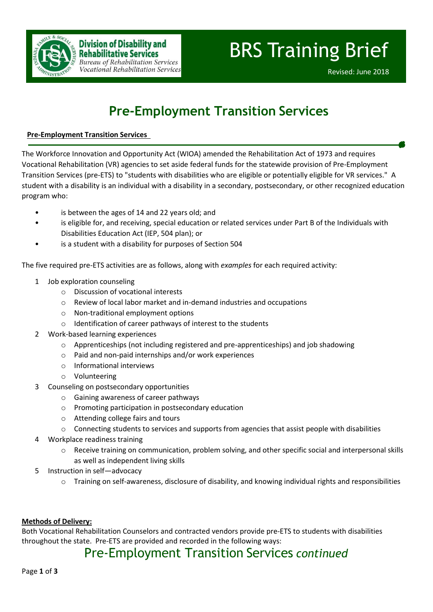

# **Pre-Employment Transition Services**

#### **Pre-Employment Transition Services**

The Workforce Innovation and Opportunity Act (WIOA) amended the Rehabilitation Act of 1973 and requires Vocational Rehabilitation (VR) agencies to set aside federal funds for the statewide provision of Pre-Employment Transition Services (pre-ETS) to "students with disabilities who are eligible or potentially eligible for VR services." A student with a disability is an individual with a disability in a secondary, postsecondary, or other recognized education program who:

- is between the ages of 14 and 22 years old; and
- is eligible for, and receiving, special education or related services under Part B of the Individuals with Disabilities Education Act (IEP, 504 plan); or
- is a student with a disability for purposes of Section 504

The five required pre-ETS activities are as follows, along with *examples* for each required activity:

- 1 Job exploration counseling
	- o Discussion of vocational interests
	- o Review of local labor market and in-demand industries and occupations
	- o Non-traditional employment options
	- o Identification of career pathways of interest to the students
- 2 Work-based learning experiences
	- o Apprenticeships (not including registered and pre-apprenticeships) and job shadowing
	- o Paid and non-paid internships and/or work experiences
	- o Informational interviews
	- o Volunteering
- 3 Counseling on postsecondary opportunities
	- o Gaining awareness of career pathways
	- o Promoting participation in postsecondary education
	- o Attending college fairs and tours
	- $\circ$  Connecting students to services and supports from agencies that assist people with disabilities
- 4 Workplace readiness training
	- o Receive training on communication, problem solving, and other specific social and interpersonal skills as well as independent living skills
- 5 Instruction in self—advocacy
	- $\circ$  Training on self-awareness, disclosure of disability, and knowing individual rights and responsibilities

#### **Methods of Delivery:**

Both Vocational Rehabilitation Counselors and contracted vendors provide pre-ETS to students with disabilities throughout the state. Pre-ETS are provided and recorded in the following ways:

### Pre-Employment Transition Services *continued*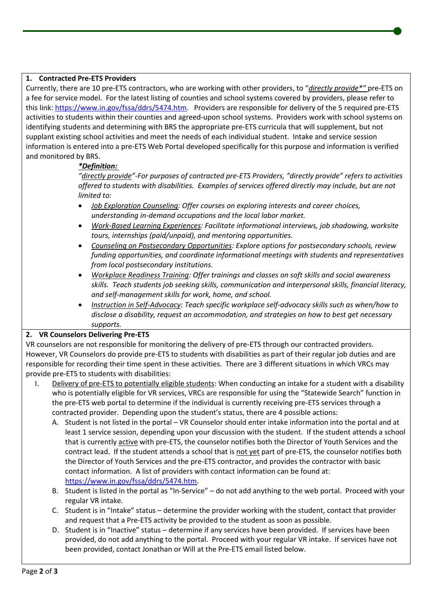#### **1. Contracted Pre-ETS Providers**

Currently, there are 10 pre-ETS contractors, who are working with other providers, to "*directly provide\*"* pre-ETS on a fee for service model. For the latest listing of counties and school systems covered by providers, please refer to this link[: https://www.in.gov/fssa/ddrs/5474.htm.](https://www.in.gov/fssa/ddrs/5474.htm) Providers are responsible for delivery of the 5 required pre-ETS activities to students within their counties and agreed-upon school systems. Providers work with school systems on identifying students and determining with BRS the appropriate pre-ETS curricula that will supplement, but not supplant existing school activities and meet the needs of each individual student. Intake and service session information is entered into a pre-ETS Web Portal developed specifically for this purpose and information is verified and monitored by BRS.

#### *\*Definition:*

*"directly provide"-For purposes of contracted pre-ETS Providers, "directly provide" refers to activities offered to students with disabilities. Examples of services offered directly may include, but are not limited to:*

- *Job Exploration Counseling: Offer courses on exploring interests and career choices, understanding in-demand occupations and the local labor market.*
- *Work-Based Learning Experiences: Facilitate informational interviews, job shadowing, worksite tours, internships (paid/unpaid), and mentoring opportunities.*
- *Counseling on Postsecondary Opportunities: Explore options for postsecondary schools, review funding opportunities, and coordinate informational meetings with students and representatives from local postsecondary institutions.*
- *Workplace Readiness Training: Offer trainings and classes on soft skills and social awareness skills. Teach students job seeking skills, communication and interpersonal skills, financial literacy, and self-management skills for work, home, and school.*
- *Instruction in Self-Advocacy: Teach specific workplace self-advocacy skills such as when/how to disclose a disability, request an accommodation, and strategies on how to best get necessary supports.*

#### **2. VR Counselors Delivering Pre-ETS**

VR counselors are not responsible for monitoring the delivery of pre-ETS through our contracted providers. However, VR Counselors do provide pre-ETS to students with disabilities as part of their regular job duties and are responsible for recording their time spent in these activities. There are 3 different situations in which VRCs may provide pre-ETS to students with disabilities:

- I. Delivery of pre-ETS to potentially eligible students: When conducting an intake for a student with a disability who is potentially eligible for VR services, VRCs are responsible for using the "Statewide Search" function in the pre-ETS web portal to determine if the individual is currently receiving pre-ETS services through a contracted provider. Depending upon the student's status, there are 4 possible actions:
	- A. Student is not listed in the portal VR Counselor should enter intake information into the portal and at least 1 service session, depending upon your discussion with the student. If the student attends a school that is currently active with pre-ETS, the counselor notifies both the Director of Youth Services and the contract lead. If the student attends a school that is not yet part of pre-ETS, the counselor notifies both the Director of Youth Services and the pre-ETS contractor, and provides the contractor with basic contact information. A list of providers with contact information can be found at: [https://www.in.gov/fssa/ddrs/5474.htm.](https://www.in.gov/fssa/ddrs/5474.htm)
	- B. Student is listed in the portal as "In-Service" do not add anything to the web portal. Proceed with your regular VR intake.
	- C. Student is in "Intake" status determine the provider working with the student, contact that provider and request that a Pre-ETS activity be provided to the student as soon as possible.
	- D. Student is in "Inactive" status determine if any services have been provided. If services have been provided, do not add anything to the portal. Proceed with your regular VR intake. If services have not been provided, contact Jonathan or Will at the Pre-ETS email listed below.